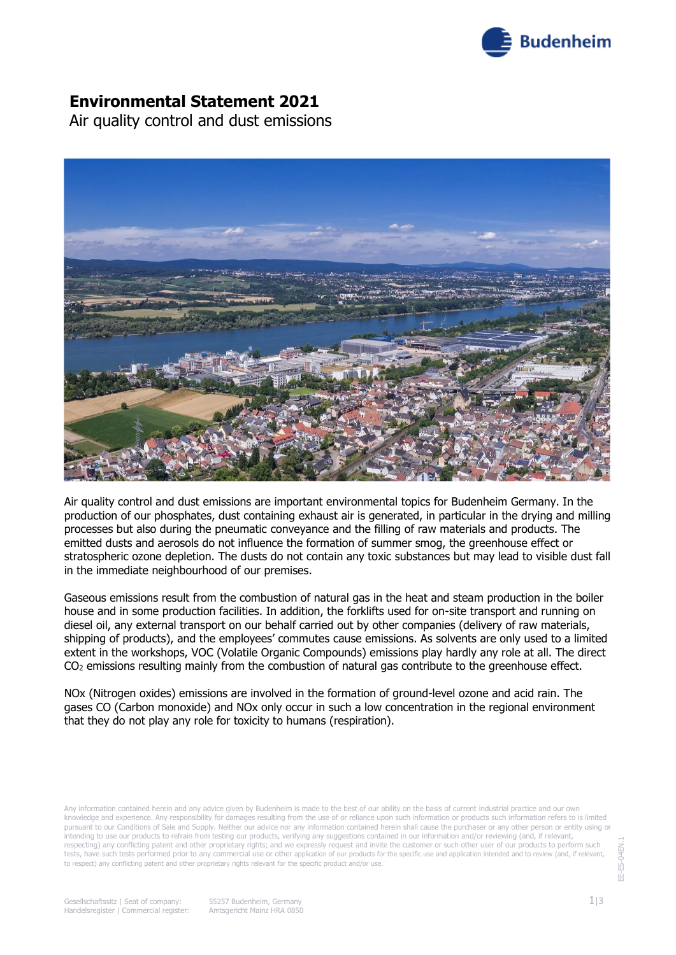

# **Environmental Statement 2021**

Air quality control and dust emissions



Air quality control and dust emissions are important environmental topics for Budenheim Germany. In the production of our phosphates, dust containing exhaust air is generated, in particular in the drying and milling processes but also during the pneumatic conveyance and the filling of raw materials and products. The emitted dusts and aerosols do not influence the formation of summer smog, the greenhouse effect or stratospheric ozone depletion. The dusts do not contain any toxic substances but may lead to visible dust fall in the immediate neighbourhood of our premises.

Gaseous emissions result from the combustion of natural gas in the heat and steam production in the boiler house and in some production facilities. In addition, the forklifts used for on-site transport and running on diesel oil, any external transport on our behalf carried out by other companies (delivery of raw materials, shipping of products), and the employees' commutes cause emissions. As solvents are only used to a limited extent in the workshops, VOC (Volatile Organic Compounds) emissions play hardly any role at all. The direct CO<sup>2</sup> emissions resulting mainly from the combustion of natural gas contribute to the greenhouse effect.

NOx (Nitrogen oxides) emissions are involved in the formation of ground-level ozone and acid rain. The gases CO (Carbon monoxide) and NOx only occur in such a low concentration in the regional environment that they do not play any role for toxicity to humans (respiration).

Any information contained herein and any advice given by Budenheim is made to the best of our ability on the basis of current industrial practice and our own knowledge and experience. Any responsibility for damages resulting from the use of or reliance upon such information or products such information refers to is limited pursuant to our Conditions of Sale and Supply. Neither our advice nor any information contained herein shall cause the purchaser or any other person or entity using or intending to use our products to refrain from testing our products, verifying any suggestions contained in our information and/or reviewing (and, if relevant, respecting) any conflicting patent and other proprietary rights; and we expressly request and invite the customer or such other user of our products to perform such tests, have such tests performed prior to any commercial use or other application of our products for the specific use and application intended and to review (and, if relevant to respect) any conflicting patent and other proprietary rights relevant for the specific product and/or use.

E-ES-04EN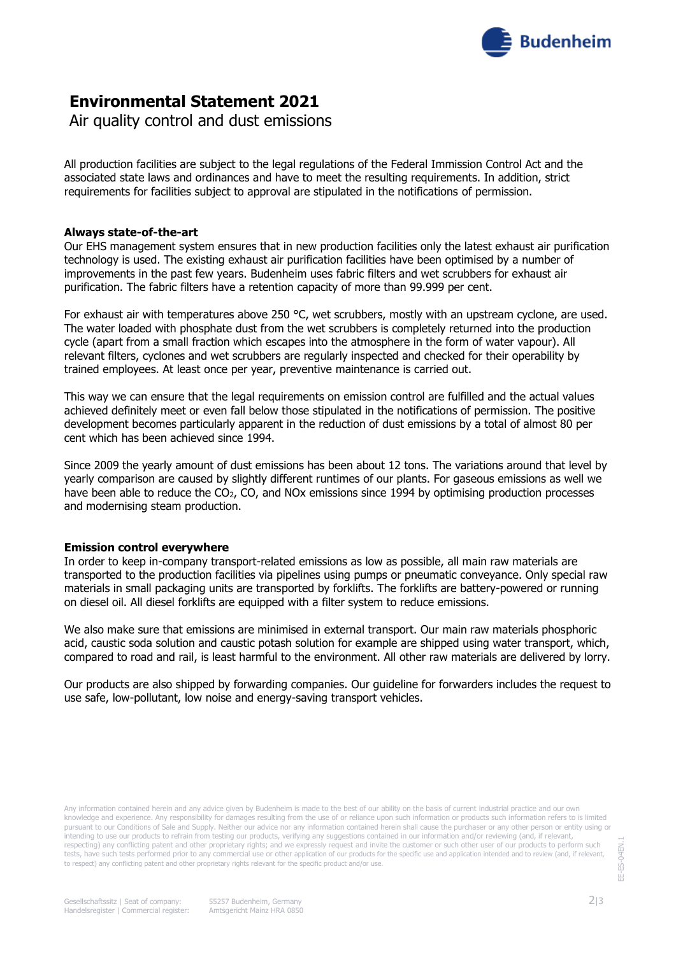

# **Environmental Statement 2021**

Air quality control and dust emissions

All production facilities are subject to the legal regulations of the Federal Immission Control Act and the associated state laws and ordinances and have to meet the resulting requirements. In addition, strict requirements for facilities subject to approval are stipulated in the notifications of permission.

### **Always state-of-the-art**

Our EHS management system ensures that in new production facilities only the latest exhaust air purification technology is used. The existing exhaust air purification facilities have been optimised by a number of improvements in the past few years. Budenheim uses fabric filters and wet scrubbers for exhaust air purification. The fabric filters have a retention capacity of more than 99.999 per cent.

For exhaust air with temperatures above 250 °C, wet scrubbers, mostly with an upstream cyclone, are used. The water loaded with phosphate dust from the wet scrubbers is completely returned into the production cycle (apart from a small fraction which escapes into the atmosphere in the form of water vapour). All relevant filters, cyclones and wet scrubbers are regularly inspected and checked for their operability by trained employees. At least once per year, preventive maintenance is carried out.

This way we can ensure that the legal requirements on emission control are fulfilled and the actual values achieved definitely meet or even fall below those stipulated in the notifications of permission. The positive development becomes particularly apparent in the reduction of dust emissions by a total of almost 80 per cent which has been achieved since 1994.

Since 2009 the yearly amount of dust emissions has been about 12 tons. The variations around that level by yearly comparison are caused by slightly different runtimes of our plants. For gaseous emissions as well we have been able to reduce the CO2, CO, and NOx emissions since 1994 by optimising production processes and modernising steam production.

### **Emission control everywhere**

In order to keep in-company transport-related emissions as low as possible, all main raw materials are transported to the production facilities via pipelines using pumps or pneumatic conveyance. Only special raw materials in small packaging units are transported by forklifts. The forklifts are battery-powered or running on diesel oil. All diesel forklifts are equipped with a filter system to reduce emissions.

We also make sure that emissions are minimised in external transport. Our main raw materials phosphoric acid, caustic soda solution and caustic potash solution for example are shipped using water transport, which, compared to road and rail, is least harmful to the environment. All other raw materials are delivered by lorry.

Our products are also shipped by forwarding companies. Our guideline for forwarders includes the request to use safe, low-pollutant, low noise and energy-saving transport vehicles.

Any information contained herein and any advice given by Budenheim is made to the best of our ability on the basis of current industrial practice and our own knowledge and experience. Any responsibility for damages resulting from the use of or reliance upon such information or products such information refers to is limited pursuant to our Conditions of Sale and Supply. Neither our advice nor any information contained herein shall cause the purchaser or any other person or entity using or intending to use our products to refrain from testing our products, verifying any suggestions contained in our information and/or reviewing (and, if relevant, respecting) any conflicting patent and other proprietary rights; and we expressly request and invite the customer or such other user of our products to perform such tests, have such tests performed prior to any commercial use or other application of our products for the specific use and application intended and to review (and, if relevant, to respect) any conflicting patent and other proprietary rights relevant for the specific product and/or use.